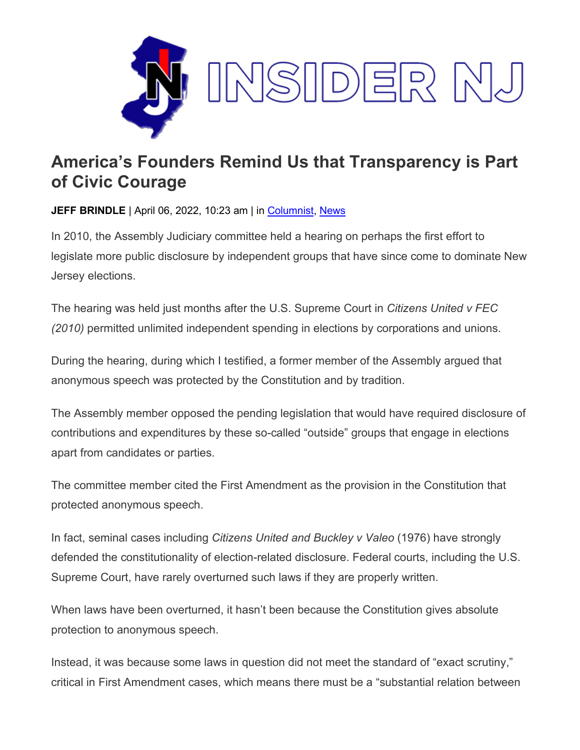

## **America's Founders Remind Us that Transparency is Part of Civic Courage**

**JEFF BRINDLE** | April 06, 2022, 10:23 am | in [Columnist,](https://www.insidernj.com/category/columnist/) [News](https://www.insidernj.com/category/news/)

In 2010, the Assembly Judiciary committee held a hearing on perhaps the first effort to legislate more public disclosure by independent groups that have since come to dominate New Jersey elections.

The hearing was held just months after the U.S. Supreme Court in *Citizens United v FEC (2010)* permitted unlimited independent spending in elections by corporations and unions.

During the hearing, during which I testified, a former member of the Assembly argued that anonymous speech was protected by the Constitution and by tradition.

The Assembly member opposed the pending legislation that would have required disclosure of contributions and expenditures by these so-called "outside" groups that engage in elections apart from candidates or parties.

The committee member cited the First Amendment as the provision in the Constitution that protected anonymous speech.

In fact, seminal cases including *Citizens United and Buckley v Valeo* (1976) have strongly defended the constitutionality of election-related disclosure. Federal courts, including the U.S. Supreme Court, have rarely overturned such laws if they are properly written.

When laws have been overturned, it hasn't been because the Constitution gives absolute protection to anonymous speech.

Instead, it was because some laws in question did not meet the standard of "exact scrutiny," critical in First Amendment cases, which means there must be a "substantial relation between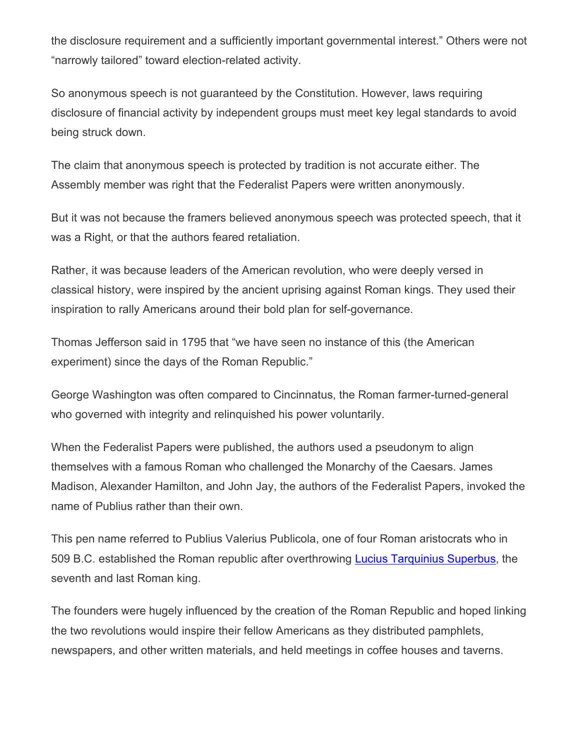the disclosure requirement and a sufficiently important governmental interest." Others were not "narrowly tailored" toward election-related activity.

So anonymous speech is not guaranteed by the Constitution. However, laws requiring disclosure of financial activity by independent groups must meet key legal standards to avoid being struck down.

The claim that anonymous speech is protected by tradition is not accurate either. The Assembly member was right that the Federalist Papers were written anonymously.

But it was not because the framers believed anonymous speech was protected speech, that it was a Right, or that the authors feared retaliation.

Rather, it was because leaders of the American revolution, who were deeply versed in classical history, were inspired by the ancient uprising against Roman kings. They used their inspiration to rally Americans around their bold plan for self-governance.

Thomas Jefferson said in 1795 that "we have seen no instance of this (the American experiment) since the days of the Roman Republic."

George Washington was often compared to Cincinnatus, the Roman farmer-turned-general who governed with integrity and relinquished his power voluntarily.

When the Federalist Papers were published, the authors used a pseudonym to align themselves with a famous Roman who challenged the Monarchy of the Caesars. James Madison, Alexander Hamilton, and John Jay, the authors of the Federalist Papers, invoked the name of Publius rather than their own.

This pen name referred to Publius Valerius Publicola, one of four Roman aristocrats who in 509 B.C. established the Roman republic after overthrowing [Lucius Tarquinius Superbus,](https://en.wikipedia.org/wiki/Lucius_Tarquinius_Superbus) the seventh and last Roman king.

The founders were hugely influenced by the creation of the Roman Republic and hoped linking the two revolutions would inspire their fellow Americans as they distributed pamphlets, newspapers, and other written materials, and held meetings in coffee houses and taverns.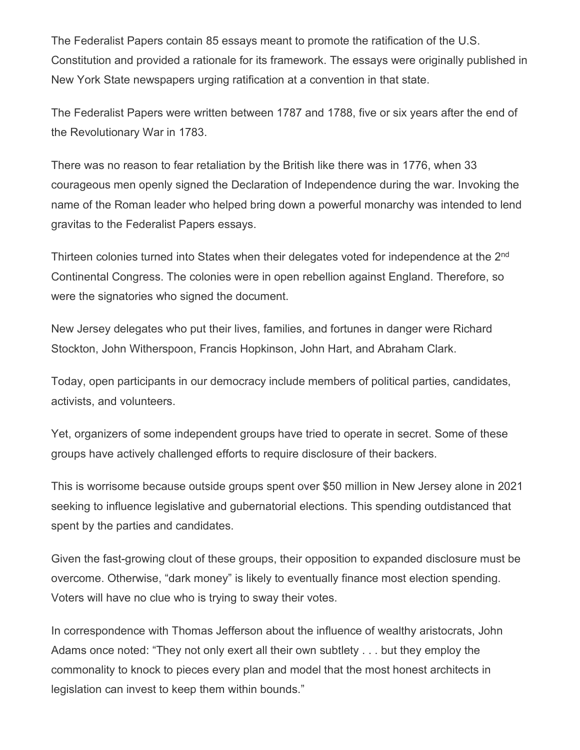The Federalist Papers contain 85 essays meant to promote the ratification of the U.S. Constitution and provided a rationale for its framework. The essays were originally published in New York State newspapers urging ratification at a convention in that state.

The Federalist Papers were written between 1787 and 1788, five or six years after the end of the Revolutionary War in 1783.

There was no reason to fear retaliation by the British like there was in 1776, when 33 courageous men openly signed the Declaration of Independence during the war. Invoking the name of the Roman leader who helped bring down a powerful monarchy was intended to lend gravitas to the Federalist Papers essays.

Thirteen colonies turned into States when their delegates voted for independence at the 2<sup>nd</sup> Continental Congress. The colonies were in open rebellion against England. Therefore, so were the signatories who signed the document.

New Jersey delegates who put their lives, families, and fortunes in danger were Richard Stockton, John Witherspoon, Francis Hopkinson, John Hart, and Abraham Clark.

Today, open participants in our democracy include members of political parties, candidates, activists, and volunteers.

Yet, organizers of some independent groups have tried to operate in secret. Some of these groups have actively challenged efforts to require disclosure of their backers.

This is worrisome because outside groups spent over \$50 million in New Jersey alone in 2021 seeking to influence legislative and gubernatorial elections. This spending outdistanced that spent by the parties and candidates.

Given the fast-growing clout of these groups, their opposition to expanded disclosure must be overcome. Otherwise, "dark money" is likely to eventually finance most election spending. Voters will have no clue who is trying to sway their votes.

In correspondence with Thomas Jefferson about the influence of wealthy aristocrats, John Adams once noted: "They not only exert all their own subtlety . . . but they employ the commonality to knock to pieces every plan and model that the most honest architects in legislation can invest to keep them within bounds."